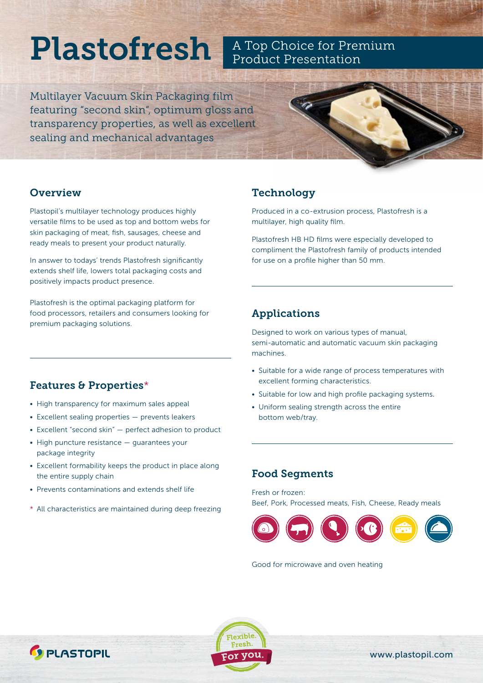# Plastofresh **A Top Choice for Premium**

Multilayer Vacuum Skin Packaging film featuring "second skin", optimum gloss and transparency properties, as well as excellent sealing and mechanical advantages



#### **Overview**

Plastopil's multilayer technology produces highly versatile films to be used as top and bottom webs for skin packaging of meat, fish, sausages, cheese and ready meals to present your product naturally.

In answer to todays' trends Plastofresh significantly extends shelf life, lowers total packaging costs and positively impacts product presence.

Plastofresh is the optimal packaging platform for food processors, retailers and consumers looking for premium packaging solutions.

## **Technology**

Produced in a co-extrusion process, Plastofresh is a multilayer, high quality film.

Plastofresh HB HD films were especially developed to compliment the Plastofresh family of products intended for use on a profile higher than 50 mm.

### Applications

Designed to work on various types of manual, semi-automatic and automatic vacuum skin packaging machines.

- Suitable for a wide range of process temperatures with excellent forming characteristics.
- Suitable for low and high profile packaging systems.
- Uniform sealing strength across the entire bottom web/tray.

# Features & Properties\*

- High transparency for maximum sales appeal
- Excellent sealing properties prevents leakers
- Excellent "second skin" perfect adhesion to product
- High puncture resistance guarantees your package integrity
- Excellent formability keeps the product in place along the entire supply chain
- Prevents contaminations and extends shelf life
- \* All characteristics are maintained during deep freezing

### Food Segments

Fresh or frozen: Beef, Pork, Processed meats, Fish, Cheese, Ready meals



Good for microwave and oven heating





[www.plastopil.com](http://www.plastopil.com)